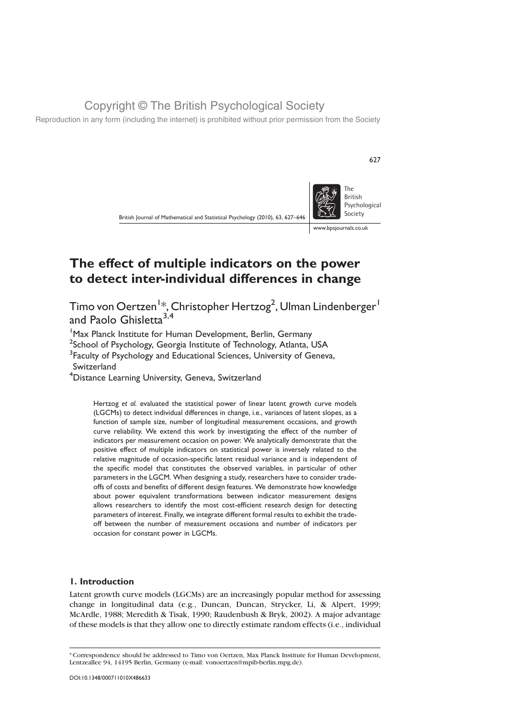Reproduction in any form (including the internet) is prohibited without prior permission from the Society



627

# The effect of multiple indicators on the power to detect inter-individual differences in change

Timo von Oertzen<sup>1</sup>\*, Christopher Hertzog<sup>2</sup>, Ulman Lindenberger<sup>1</sup> and Paolo Ghisletta<sup>3,4</sup>

<sup>1</sup> Max Planck Institute for Human Development, Berlin, Germany

 $^2$ School of Psychology, Georgia Institute of Technology, Atlanta, USA

<sup>3</sup> Faculty of Psychology and Educational Sciences, University of Geneva,

Switzerland

4 Distance Learning University, Geneva, Switzerland

Hertzog et al. evaluated the statistical power of linear latent growth curve models (LGCMs) to detect individual differences in change, i.e., variances of latent slopes, as a function of sample size, number of longitudinal measurement occasions, and growth curve reliability. We extend this work by investigating the effect of the number of indicators per measurement occasion on power. We analytically demonstrate that the positive effect of multiple indicators on statistical power is inversely related to the relative magnitude of occasion-specific latent residual variance and is independent of the specific model that constitutes the observed variables, in particular of other parameters in the LGCM. When designing a study, researchers have to consider tradeoffs of costs and benefits of different design features. We demonstrate how knowledge about power equivalent transformations between indicator measurement designs allows researchers to identify the most cost-efficient research design for detecting parameters of interest. Finally, we integrate different formal results to exhibit the tradeoff between the number of measurement occasions and number of indicators per occasion for constant power in LGCMs.

#### 1. Introduction

Latent growth curve models (LGCMs) are an increasingly popular method for assessing change in longitudinal data (e.g., Duncan, Duncan, Strycker, Li, & Alpert, 1999; McArdle, 1988; Meredith & Tisak, 1990; Raudenbush & Bryk, 2002). A major advantage of these models is that they allow one to directly estimate random effects (i.e., individual

<sup>\*</sup> Correspondence should be addressed to Timo von Oertzen, Max Planck Institute for Human Development, Lentzeallee 94, 14195 Berlin, Germany (e-mail: vonoertzen@mpib-berlin.mpg.de).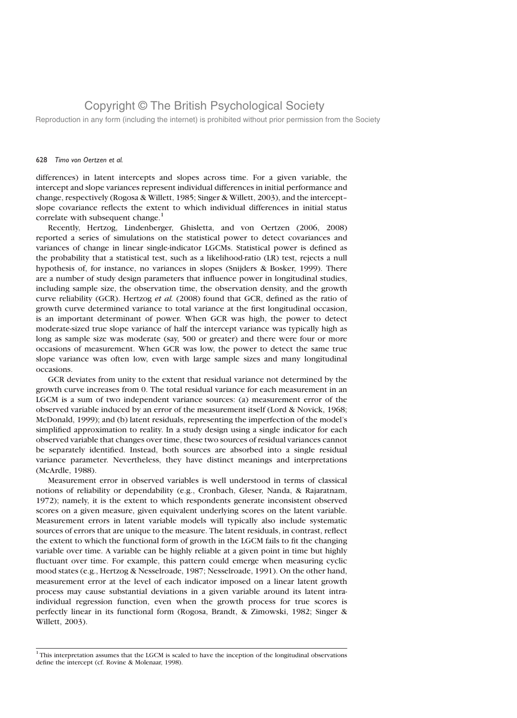Reproduction in any form (including the internet) is prohibited without prior permission from the Society

#### 628 Timo von Oertzen et al.

differences) in latent intercepts and slopes across time. For a given variable, the intercept and slope variances represent individual differences in initial performance and change, respectively (Rogosa & Willett, 1985; Singer & Willett, 2003), and the intercept– slope covariance reflects the extent to which individual differences in initial status correlate with subsequent change. $1$ 

Recently, Hertzog, Lindenberger, Ghisletta, and von Oertzen (2006, 2008) reported a series of simulations on the statistical power to detect covariances and variances of change in linear single-indicator LGCMs. Statistical power is defined as the probability that a statistical test, such as a likelihood-ratio (LR) test, rejects a null hypothesis of, for instance, no variances in slopes (Snijders & Bosker, 1999). There are a number of study design parameters that influence power in longitudinal studies, including sample size, the observation time, the observation density, and the growth curve reliability (GCR). Hertzog et al. (2008) found that GCR, defined as the ratio of growth curve determined variance to total variance at the first longitudinal occasion, is an important determinant of power. When GCR was high, the power to detect moderate-sized true slope variance of half the intercept variance was typically high as long as sample size was moderate (say, 500 or greater) and there were four or more occasions of measurement. When GCR was low, the power to detect the same true slope variance was often low, even with large sample sizes and many longitudinal occasions.

GCR deviates from unity to the extent that residual variance not determined by the growth curve increases from 0. The total residual variance for each measurement in an LGCM is a sum of two independent variance sources: (a) measurement error of the observed variable induced by an error of the measurement itself (Lord & Novick, 1968; McDonald, 1999); and (b) latent residuals, representing the imperfection of the model's simplified approximation to reality. In a study design using a single indicator for each observed variable that changes over time, these two sources of residual variances cannot be separately identified. Instead, both sources are absorbed into a single residual variance parameter. Nevertheless, they have distinct meanings and interpretations (McArdle, 1988).

Measurement error in observed variables is well understood in terms of classical notions of reliability or dependability (e.g., Cronbach, Gleser, Nanda, & Rajaratnam, 1972); namely, it is the extent to which respondents generate inconsistent observed scores on a given measure, given equivalent underlying scores on the latent variable. Measurement errors in latent variable models will typically also include systematic sources of errors that are unique to the measure. The latent residuals, in contrast, reflect the extent to which the functional form of growth in the LGCM fails to fit the changing variable over time. A variable can be highly reliable at a given point in time but highly fluctuant over time. For example, this pattern could emerge when measuring cyclic mood states (e.g., Hertzog & Nesselroade, 1987; Nesselroade, 1991). On the other hand, measurement error at the level of each indicator imposed on a linear latent growth process may cause substantial deviations in a given variable around its latent intraindividual regression function, even when the growth process for true scores is perfectly linear in its functional form (Rogosa, Brandt, & Zimowski, 1982; Singer & Willett, 2003).

 $1$ <sup>1</sup>This interpretation assumes that the LGCM is scaled to have the inception of the longitudinal observations define the intercept (cf. Rovine & Molenaar, 1998).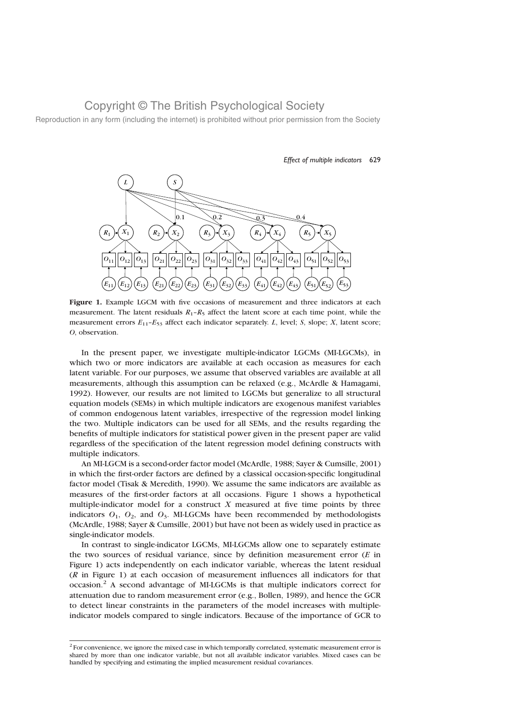Reproduction in any form (including the internet) is prohibited without prior permission from the Society



Effect of multiple indicators 629

Figure 1. Example LGCM with five occasions of measurement and three indicators at each measurement. The latent residuals  $R_1 - R_5$  affect the latent score at each time point, while the measurement errors  $E_{11}$ – $E_{53}$  affect each indicator separately. L, level; S, slope; X, latent score; O, observation.

In the present paper, we investigate multiple-indicator LGCMs (MI-LGCMs), in which two or more indicators are available at each occasion as measures for each latent variable. For our purposes, we assume that observed variables are available at all measurements, although this assumption can be relaxed (e.g., McArdle & Hamagami, 1992). However, our results are not limited to LGCMs but generalize to all structural equation models (SEMs) in which multiple indicators are exogenous manifest variables of common endogenous latent variables, irrespective of the regression model linking the two. Multiple indicators can be used for all SEMs, and the results regarding the benefits of multiple indicators for statistical power given in the present paper are valid regardless of the specification of the latent regression model defining constructs with multiple indicators.

An MI-LGCM is a second-order factor model (McArdle, 1988; Sayer & Cumsille, 2001) in which the first-order factors are defined by a classical occasion-specific longitudinal factor model (Tisak & Meredith, 1990). We assume the same indicators are available as measures of the first-order factors at all occasions. Figure 1 shows a hypothetical multiple-indicator model for a construct  $X$  measured at five time points by three indicators  $O_1$ ,  $O_2$ , and  $O_3$ . MI-LGCMs have been recommended by methodologists (McArdle, 1988; Sayer & Cumsille, 2001) but have not been as widely used in practice as single-indicator models.

In contrast to single-indicator LGCMs, MI-LGCMs allow one to separately estimate the two sources of residual variance, since by definition measurement error  $(E$  in Figure 1) acts independently on each indicator variable, whereas the latent residual  $(R$  in Figure 1) at each occasion of measurement influences all indicators for that occasion.<sup>2</sup> A second advantage of MI-LGCMs is that multiple indicators correct for attenuation due to random measurement error (e.g., Bollen, 1989), and hence the GCR to detect linear constraints in the parameters of the model increases with multipleindicator models compared to single indicators. Because of the importance of GCR to

 $2$  For convenience, we ignore the mixed case in which temporally correlated, systematic measurement error is shared by more than one indicator variable, but not all available indicator variables. Mixed cases can be handled by specifying and estimating the implied measurement residual covariances.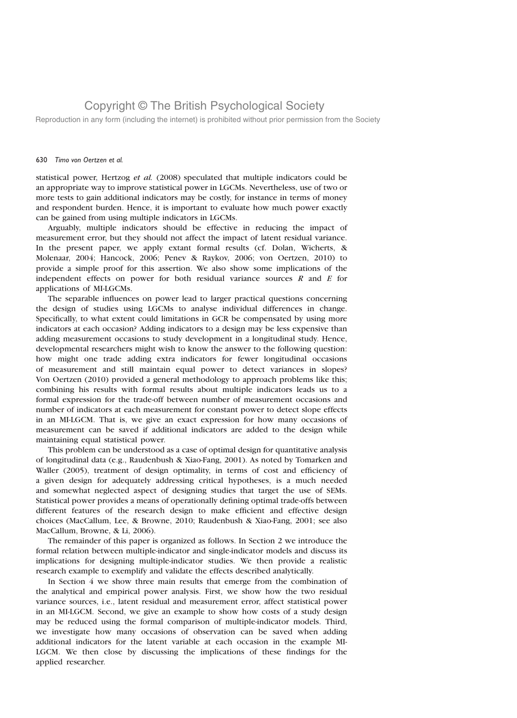Reproduction in any form (including the internet) is prohibited without prior permission from the Society

#### 630 Timo von Oertzen et al.

statistical power, Hertzog et al. (2008) speculated that multiple indicators could be an appropriate way to improve statistical power in LGCMs. Nevertheless, use of two or more tests to gain additional indicators may be costly, for instance in terms of money and respondent burden. Hence, it is important to evaluate how much power exactly can be gained from using multiple indicators in LGCMs.

Arguably, multiple indicators should be effective in reducing the impact of measurement error, but they should not affect the impact of latent residual variance. In the present paper, we apply extant formal results (cf. Dolan, Wicherts, & Molenaar, 2004; Hancock, 2006; Penev & Raykov, 2006; von Oertzen, 2010) to provide a simple proof for this assertion. We also show some implications of the independent effects on power for both residual variance sources  $R$  and  $E$  for applications of MI-LGCMs.

The separable influences on power lead to larger practical questions concerning the design of studies using LGCMs to analyse individual differences in change. Specifically, to what extent could limitations in GCR be compensated by using more indicators at each occasion? Adding indicators to a design may be less expensive than adding measurement occasions to study development in a longitudinal study. Hence, developmental researchers might wish to know the answer to the following question: how might one trade adding extra indicators for fewer longitudinal occasions of measurement and still maintain equal power to detect variances in slopes? Von Oertzen (2010) provided a general methodology to approach problems like this; combining his results with formal results about multiple indicators leads us to a formal expression for the trade-off between number of measurement occasions and number of indicators at each measurement for constant power to detect slope effects in an MI-LGCM. That is, we give an exact expression for how many occasions of measurement can be saved if additional indicators are added to the design while maintaining equal statistical power.

This problem can be understood as a case of optimal design for quantitative analysis of longitudinal data (e.g., Raudenbush & Xiao-Fang, 2001). As noted by Tomarken and Waller (2005), treatment of design optimality, in terms of cost and efficiency of a given design for adequately addressing critical hypotheses, is a much needed and somewhat neglected aspect of designing studies that target the use of SEMs. Statistical power provides a means of operationally defining optimal trade-offs between different features of the research design to make efficient and effective design choices (MacCallum, Lee, & Browne, 2010; Raudenbush & Xiao-Fang, 2001; see also MacCallum, Browne, & Li, 2006).

The remainder of this paper is organized as follows. In Section 2 we introduce the formal relation between multiple-indicator and single-indicator models and discuss its implications for designing multiple-indicator studies. We then provide a realistic research example to exemplify and validate the effects described analytically.

In Section 4 we show three main results that emerge from the combination of the analytical and empirical power analysis. First, we show how the two residual variance sources, i.e., latent residual and measurement error, affect statistical power in an MI-LGCM. Second, we give an example to show how costs of a study design may be reduced using the formal comparison of multiple-indicator models. Third, we investigate how many occasions of observation can be saved when adding additional indicators for the latent variable at each occasion in the example MI-LGCM. We then close by discussing the implications of these findings for the applied researcher.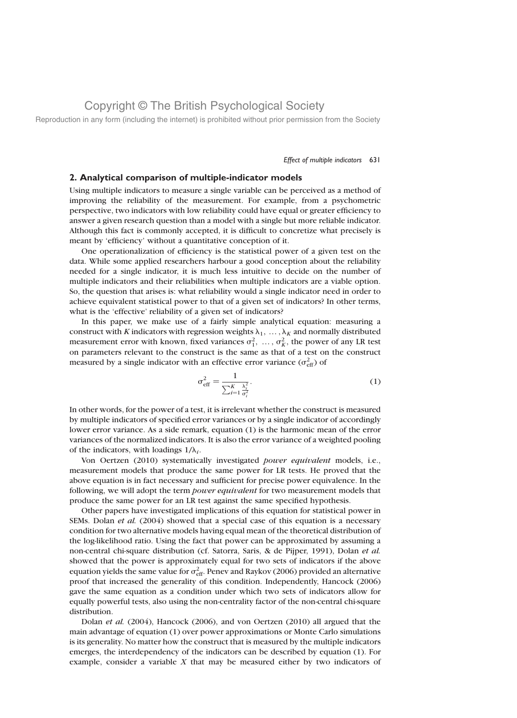Reproduction in any form (including the internet) is prohibited without prior permission from the Society

#### Effect of multiple indicators 631

#### 2. Analytical comparison of multiple-indicator models

Using multiple indicators to measure a single variable can be perceived as a method of improving the reliability of the measurement. For example, from a psychometric perspective, two indicators with low reliability could have equal or greater efficiency to answer a given research question than a model with a single but more reliable indicator. Although this fact is commonly accepted, it is difficult to concretize what precisely is meant by 'efficiency' without a quantitative conception of it.

One operationalization of efficiency is the statistical power of a given test on the data. While some applied researchers harbour a good conception about the reliability needed for a single indicator, it is much less intuitive to decide on the number of multiple indicators and their reliabilities when multiple indicators are a viable option. So, the question that arises is: what reliability would a single indicator need in order to achieve equivalent statistical power to that of a given set of indicators? In other terms, what is the 'effective' reliability of a given set of indicators?

In this paper, we make use of a fairly simple analytical equation: measuring a construct with K indicators with regression weights  $\lambda_1, \ldots, \lambda_K$  and normally distributed measurement error with known, fixed variances  $\sigma_1^2$ , ...,  $\sigma_K^2$ , the power of any LR test on parameters relevant to the construct is the same as that of a test on the construct measured by a single indicator with an effective error variance  $(\sigma_{\text{eff}}^2)$  of

$$
\sigma_{\text{eff}}^2 = \frac{1}{\sum_{i=1}^K \frac{\lambda_i^2}{\sigma_i^2}}.
$$
\n(1)

In other words, for the power of a test, it is irrelevant whether the construct is measured by multiple indicators of specified error variances or by a single indicator of accordingly lower error variance. As a side remark, equation (1) is the harmonic mean of the error variances of the normalized indicators. It is also the error variance of a weighted pooling of the indicators, with loadings  $1/\lambda_i$ .

Von Oertzen (2010) systematically investigated power equivalent models, i.e., measurement models that produce the same power for LR tests. He proved that the above equation is in fact necessary and sufficient for precise power equivalence. In the following, we will adopt the term power equivalent for two measurement models that produce the same power for an LR test against the same specified hypothesis.

Other papers have investigated implications of this equation for statistical power in SEMs. Dolan et al. (2004) showed that a special case of this equation is a necessary condition for two alternative models having equal mean of the theoretical distribution of the log-likelihood ratio. Using the fact that power can be approximated by assuming a non-central chi-square distribution (cf. Satorra, Saris, & de Pijper, 1991), Dolan et al. showed that the power is approximately equal for two sets of indicators if the above equation yields the same value for  $\sigma_{\mathrm{eff}}^2$ . Penev and Raykov (2006) provided an alternative proof that increased the generality of this condition. Independently, Hancock (2006) gave the same equation as a condition under which two sets of indicators allow for equally powerful tests, also using the non-centrality factor of the non-central chi-square distribution.

Dolan et al. (2004), Hancock (2006), and von Oertzen (2010) all argued that the main advantage of equation (1) over power approximations or Monte Carlo simulations is its generality. No matter how the construct that is measured by the multiple indicators emerges, the interdependency of the indicators can be described by equation (1). For example, consider a variable  $X$  that may be measured either by two indicators of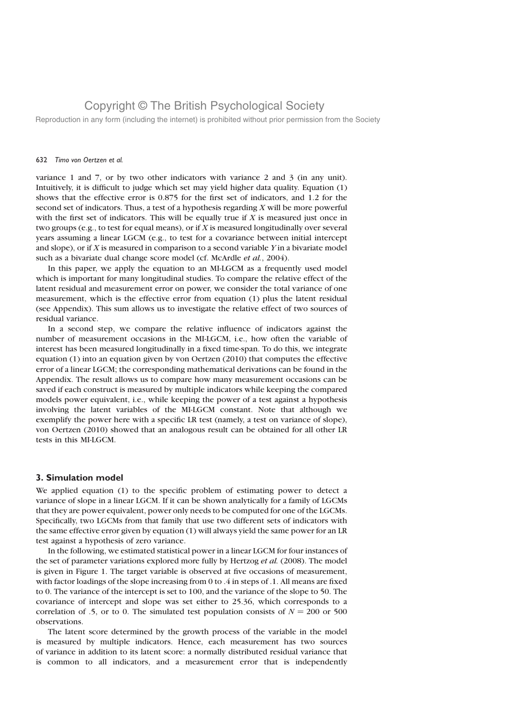Reproduction in any form (including the internet) is prohibited without prior permission from the Society

#### 632 Timo von Oertzen et al.

variance 1 and 7, or by two other indicators with variance 2 and 3 (in any unit). Intuitively, it is difficult to judge which set may yield higher data quality. Equation (1) shows that the effective error is 0.875 for the first set of indicators, and 1.2 for the second set of indicators. Thus, a test of a hypothesis regarding  $X$  will be more powerful with the first set of indicators. This will be equally true if  $X$  is measured just once in two groups (e.g., to test for equal means), or if  $X$  is measured longitudinally over several years assuming a linear LGCM (e.g., to test for a covariance between initial intercept and slope), or if  $X$  is measured in comparison to a second variable  $Y$  in a bivariate model such as a bivariate dual change score model (cf. McArdle *et al.*, 2004).

In this paper, we apply the equation to an MI-LGCM as a frequently used model which is important for many longitudinal studies. To compare the relative effect of the latent residual and measurement error on power, we consider the total variance of one measurement, which is the effective error from equation (1) plus the latent residual (see Appendix). This sum allows us to investigate the relative effect of two sources of residual variance.

In a second step, we compare the relative influence of indicators against the number of measurement occasions in the MI-LGCM, i.e., how often the variable of interest has been measured longitudinally in a fixed time-span. To do this, we integrate equation (1) into an equation given by von Oertzen (2010) that computes the effective error of a linear LGCM; the corresponding mathematical derivations can be found in the Appendix. The result allows us to compare how many measurement occasions can be saved if each construct is measured by multiple indicators while keeping the compared models power equivalent, i.e., while keeping the power of a test against a hypothesis involving the latent variables of the MI-LGCM constant. Note that although we exemplify the power here with a specific LR test (namely, a test on variance of slope), von Oertzen (2010) showed that an analogous result can be obtained for all other LR tests in this MI-LGCM.

#### 3. Simulation model

We applied equation (1) to the specific problem of estimating power to detect a variance of slope in a linear LGCM. If it can be shown analytically for a family of LGCMs that they are power equivalent, power only needs to be computed for one of the LGCMs. Specifically, two LGCMs from that family that use two different sets of indicators with the same effective error given by equation (1) will always yield the same power for an LR test against a hypothesis of zero variance.

In the following, we estimated statistical power in a linear LGCM for four instances of the set of parameter variations explored more fully by Hertzog et al. (2008). The model is given in Figure 1. The target variable is observed at five occasions of measurement, with factor loadings of the slope increasing from 0 to .4 in steps of .1. All means are fixed to 0. The variance of the intercept is set to 100, and the variance of the slope to 50. The covariance of intercept and slope was set either to 25.36, which corresponds to a correlation of .5, or to 0. The simulated test population consists of  $N = 200$  or 500 observations.

The latent score determined by the growth process of the variable in the model is measured by multiple indicators. Hence, each measurement has two sources of variance in addition to its latent score: a normally distributed residual variance that is common to all indicators, and a measurement error that is independently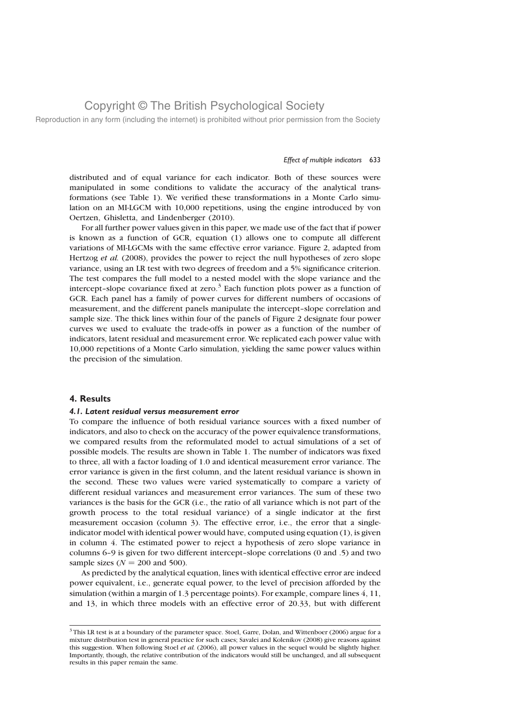Reproduction in any form (including the internet) is prohibited without prior permission from the Society

#### Effect of multiple indicators 633

distributed and of equal variance for each indicator. Both of these sources were manipulated in some conditions to validate the accuracy of the analytical transformations (see Table 1). We verified these transformations in a Monte Carlo simulation on an MI-LGCM with 10,000 repetitions, using the engine introduced by von Oertzen, Ghisletta, and Lindenberger (2010).

For all further power values given in this paper, we made use of the fact that if power is known as a function of GCR, equation (1) allows one to compute all different variations of MI-LGCMs with the same effective error variance. Figure 2, adapted from Hertzog et al. (2008), provides the power to reject the null hypotheses of zero slope variance, using an LR test with two degrees of freedom and a 5% significance criterion. The test compares the full model to a nested model with the slope variance and the intercept-slope covariance fixed at zero.<sup>3</sup> Each function plots power as a function of GCR. Each panel has a family of power curves for different numbers of occasions of measurement, and the different panels manipulate the intercept–slope correlation and sample size. The thick lines within four of the panels of Figure 2 designate four power curves we used to evaluate the trade-offs in power as a function of the number of indicators, latent residual and measurement error. We replicated each power value with 10,000 repetitions of a Monte Carlo simulation, yielding the same power values within the precision of the simulation.

#### 4. Results

#### 4.1. Latent residual versus measurement error

To compare the influence of both residual variance sources with a fixed number of indicators, and also to check on the accuracy of the power equivalence transformations, we compared results from the reformulated model to actual simulations of a set of possible models. The results are shown in Table 1. The number of indicators was fixed to three, all with a factor loading of 1.0 and identical measurement error variance. The error variance is given in the first column, and the latent residual variance is shown in the second. These two values were varied systematically to compare a variety of different residual variances and measurement error variances. The sum of these two variances is the basis for the GCR (i.e., the ratio of all variance which is not part of the growth process to the total residual variance) of a single indicator at the first measurement occasion (column 3). The effective error, i.e., the error that a singleindicator model with identical power would have, computed using equation (1), is given in column 4. The estimated power to reject a hypothesis of zero slope variance in columns 6–9 is given for two different intercept–slope correlations (0 and .5) and two sample sizes ( $N = 200$  and 500).

As predicted by the analytical equation, lines with identical effective error are indeed power equivalent, i.e., generate equal power, to the level of precision afforded by the simulation (within a margin of 1.3 percentage points). For example, compare lines 4, 11, and 13, in which three models with an effective error of 20.33, but with different

<sup>&</sup>lt;sup>3</sup> This LR test is at a boundary of the parameter space. Stoel, Garre, Dolan, and Wittenboer (2006) argue for a mixture distribution test in general practice for such cases; Savalei and Kolenikov (2008) give reasons against this suggestion. When following Stoel et al. (2006), all power values in the sequel would be slightly higher. Importantly, though, the relative contribution of the indicators would still be unchanged, and all subsequent results in this paper remain the same.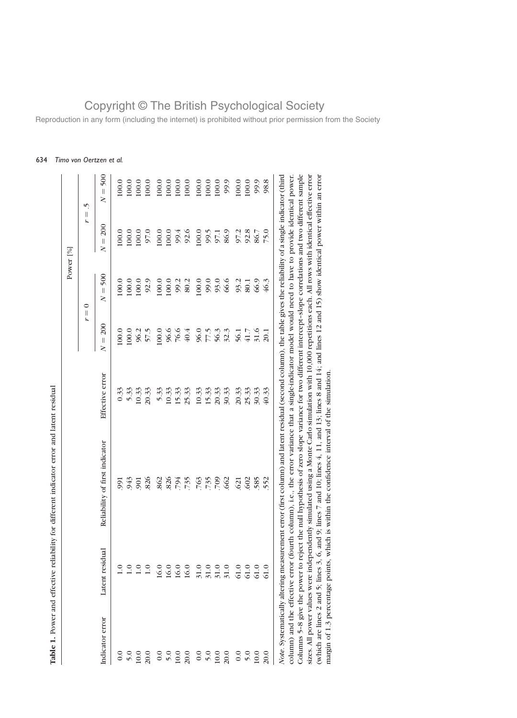|                 | Table 1. Power and effective reliabil  | lity for different indicator error and latent residual                                                                                                           |                 |                                             | Power <sup>[%]</sup>                                                                 |                                     |                                          |
|-----------------|----------------------------------------|------------------------------------------------------------------------------------------------------------------------------------------------------------------|-----------------|---------------------------------------------|--------------------------------------------------------------------------------------|-------------------------------------|------------------------------------------|
|                 |                                        |                                                                                                                                                                  |                 | t,                                          | $\circ$<br>$\label{eq:1} \prod_{i=1}^n \left\{ \prod_{i=1}^n \frac{1}{n_i} \right\}$ | $\vert\vert$<br>r                   | v.                                       |
| Indicator error | Latent residual                        | Reliability of first indicator                                                                                                                                   | Effective error | 200<br>$\left\vert {}\right\vert$<br>$\geq$ | 500<br>$\vert\vert$<br>$\geq$                                                        | 200<br>$\left  {}\right $<br>$\geq$ | 500<br>$\overline{\mathbf{I}}$<br>$\geq$ |
| $\overline{0}$  |                                        | 991                                                                                                                                                              | 0.33            | 100.0                                       | 100.0                                                                                | 100.0                               | 100.0                                    |
| 5.0             | $\stackrel{\circ}{\scriptstyle \cdot}$ | 943                                                                                                                                                              | 5.33            | 100.0                                       | 100.0                                                                                | 100.0                               | 100.0                                    |
| 10.0            |                                        | 901                                                                                                                                                              | 10.33           | 96.2                                        | 100.0                                                                                | 100.0                               | 100.0                                    |
| 20.0            | 1.0                                    | 826                                                                                                                                                              | 20.33           | 57.5                                        | 92.9                                                                                 | 97.0                                | 100.0                                    |
| 0.0             | 16.0                                   | 862                                                                                                                                                              | 5.33            | 100.0                                       | 100.0                                                                                | 100.0                               | 100.0                                    |
| 5.0             | 16.0                                   | .826                                                                                                                                                             | 10.33           | 96.6                                        | 100.0                                                                                | 100.0                               | 100.0                                    |
| 10.0            | 16.0                                   | .794                                                                                                                                                             | 15.33           | 76.6                                        | 99.2                                                                                 | 99.4                                | 100.0                                    |
| 20.0            | 16.0                                   | .735                                                                                                                                                             | 25.33           | 40.4                                        | 80.2                                                                                 | 92.6                                | 100.0                                    |
| 0.0             | 31.0                                   | 763                                                                                                                                                              | 10.33           | 96.0                                        | 100.0                                                                                | 100.0                               | 100.0                                    |
| 5.0             | 31.0                                   | .735                                                                                                                                                             | 15.33           | 77.5                                        | 99.0                                                                                 |                                     | 100.0                                    |
| $10.0\,$        |                                        | 709                                                                                                                                                              | 20.33           | 56.3                                        | 93.0                                                                                 | 99.5<br>97.1                        | 100.0                                    |
| 20.0            | $31.0$<br>$31.0$                       | 662                                                                                                                                                              | 30.33           | 32.3                                        | 66.6                                                                                 | 86.9                                | 99.9                                     |
| 0.0             | $61.0$                                 | 621                                                                                                                                                              | 20.33           | 56.1                                        | 93.2                                                                                 | 97.2                                | 100.0                                    |
| 5.0             | $61.0$                                 | 602                                                                                                                                                              | 25.33           | 41.7                                        | $\overline{80.1}$                                                                    | 92.8                                | 100.0                                    |
| $10.0\,$        | 61.0                                   | 585                                                                                                                                                              | 30.33           | 31.6                                        | 66.9                                                                                 | 86.7                                | 99.9                                     |
| 20.0            | 61.0                                   | 552                                                                                                                                                              | 40.33           | 20.1                                        | 46.3                                                                                 | 75.0                                | 98.8                                     |
|                 |                                        | Note. Systematically altering measurement error (first column) and latent residual (second column), the table gives the reliability of a single indicator (third |                 |                                             |                                                                                      |                                     |                                          |
|                 |                                        | column) and the effective error (fourth column), i.e., the error variance that a single-indicator model would need to have to provide identical power            |                 |                                             |                                                                                      |                                     |                                          |
|                 |                                        | Columns 5-8 give the power to reject the null hypothesis of zero slope variance for two different intercept-slope correlations and two different sample          |                 |                                             |                                                                                      |                                     |                                          |
|                 |                                        | sizes. All power values were independently simulated using a Monte Carlo simulation with 10,000 repetitions each. All rows with identical effective error        |                 |                                             |                                                                                      |                                     |                                          |
|                 |                                        | (which are lines 2 and 5; lines 3, 6, and 9; lines 7 and 10; lines 4, 11, and 13; lines 8 and 14; and lines 12 and 15) show identical power within an error      |                 |                                             |                                                                                      |                                     |                                          |
|                 |                                        | margin of 1.3 percentage points, which is within the confidence interval of the simulation                                                                       |                 |                                             |                                                                                      |                                     |                                          |

### 634 Timo von Oertzen et al.

Table 1. Power and effective reliability for different indicator error and latent residual

# Copyright © The British Psychological Society

Reproduction in any form (including the internet) is prohibited without prior permission from the Society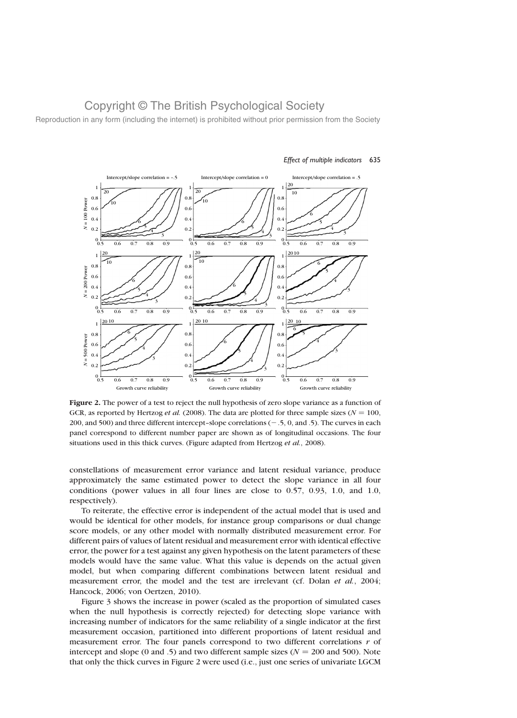Reproduction in any form (including the internet) is prohibited without prior permission from the Society



#### Effect of multiple indicators 635

Figure 2. The power of a test to reject the null hypothesis of zero slope variance as a function of GCR, as reported by Hertzog *et al.* (2008). The data are plotted for three sample sizes ( $N = 100$ , 200, and 500) and three different intercept–slope correlations  $(-5, 0, \text{ and } 5)$ . The curves in each panel correspond to different number paper are shown as of longitudinal occasions. The four situations used in this thick curves. (Figure adapted from Hertzog et al., 2008).

constellations of measurement error variance and latent residual variance, produce approximately the same estimated power to detect the slope variance in all four conditions (power values in all four lines are close to 0.57, 0.93, 1.0, and 1.0, respectively).

To reiterate, the effective error is independent of the actual model that is used and would be identical for other models, for instance group comparisons or dual change score models, or any other model with normally distributed measurement error. For different pairs of values of latent residual and measurement error with identical effective error, the power for a test against any given hypothesis on the latent parameters of these models would have the same value. What this value is depends on the actual given model, but when comparing different combinations between latent residual and measurement error, the model and the test are irrelevant (cf. Dolan et al., 2004; Hancock, 2006; von Oertzen, 2010).

Figure 3 shows the increase in power (scaled as the proportion of simulated cases when the null hypothesis is correctly rejected) for detecting slope variance with increasing number of indicators for the same reliability of a single indicator at the first measurement occasion, partitioned into different proportions of latent residual and measurement error. The four panels correspond to two different correlations  $r$  of intercept and slope (0 and .5) and two different sample sizes ( $N = 200$  and 500). Note that only the thick curves in Figure 2 were used (i.e., just one series of univariate LGCM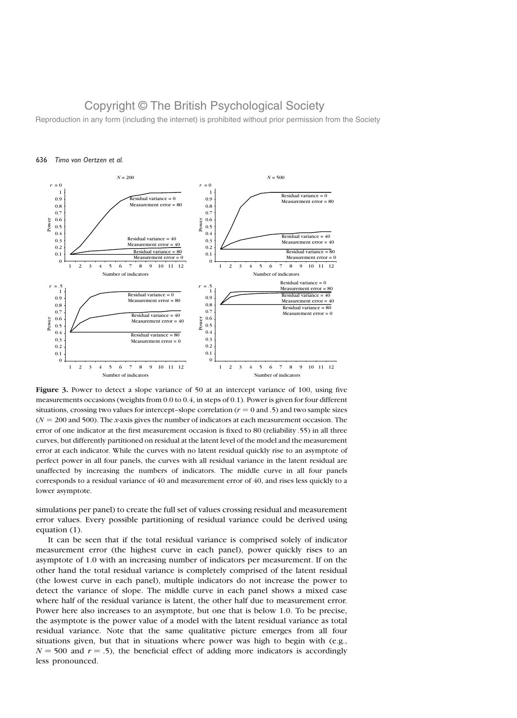Reproduction in any form (including the internet) is prohibited without prior permission from the Society



#### 636 Timo von Oertzen et al.

Figure 3. Power to detect a slope variance of 50 at an intercept variance of 100, using five measurements occasions (weights from 0.0 to 0.4, in steps of 0.1). Power is given for four different situations, crossing two values for intercept-slope correlation ( $r = 0$  and .5) and two sample sizes  $(N = 200$  and 500). The *x*-axis gives the number of indicators at each measurement occasion. The error of one indicator at the first measurement occasion is fixed to 80 (reliability .55) in all three curves, but differently partitioned on residual at the latent level of the model and the measurement error at each indicator. While the curves with no latent residual quickly rise to an asymptote of perfect power in all four panels, the curves with all residual variance in the latent residual are unaffected by increasing the numbers of indicators. The middle curve in all four panels corresponds to a residual variance of 40 and measurement error of 40, and rises less quickly to a lower asymptote.

simulations per panel) to create the full set of values crossing residual and measurement error values. Every possible partitioning of residual variance could be derived using equation (1).

It can be seen that if the total residual variance is comprised solely of indicator measurement error (the highest curve in each panel), power quickly rises to an asymptote of 1.0 with an increasing number of indicators per measurement. If on the other hand the total residual variance is completely comprised of the latent residual (the lowest curve in each panel), multiple indicators do not increase the power to detect the variance of slope. The middle curve in each panel shows a mixed case where half of the residual variance is latent, the other half due to measurement error. Power here also increases to an asymptote, but one that is below 1.0. To be precise, the asymptote is the power value of a model with the latent residual variance as total residual variance. Note that the same qualitative picture emerges from all four situations given, but that in situations where power was high to begin with (e.g.,  $N = 500$  and  $r = .5$ ), the beneficial effect of adding more indicators is accordingly less pronounced.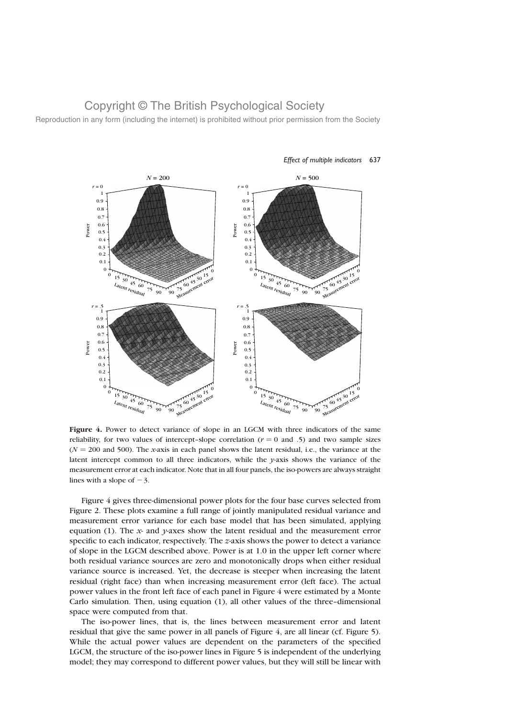Reproduction in any form (including the internet) is prohibited without prior permission from the Society



#### Effect of multiple indicators 637

Figure 4. Power to detect variance of slope in an LGCM with three indicators of the same reliability, for two values of intercept-slope correlation ( $r = 0$  and .5) and two sample sizes  $(N = 200$  and 500). The x-axis in each panel shows the latent residual, i.e., the variance at the latent intercept common to all three indicators, while the  $\gamma$ -axis shows the variance of the measurement error at each indicator. Note that in all four panels, the iso-powers are always straight lines with a slope of  $-3$ .

Figure 4 gives three-dimensional power plots for the four base curves selected from Figure 2. These plots examine a full range of jointly manipulated residual variance and measurement error variance for each base model that has been simulated, applying equation (1). The x- and y-axes show the latent residual and the measurement error specific to each indicator, respectively. The  $z$ -axis shows the power to detect a variance of slope in the LGCM described above. Power is at 1.0 in the upper left corner where both residual variance sources are zero and monotonically drops when either residual variance source is increased. Yet, the decrease is steeper when increasing the latent residual (right face) than when increasing measurement error (left face). The actual power values in the front left face of each panel in Figure 4 were estimated by a Monte Carlo simulation. Then, using equation (1), all other values of the three–dimensional space were computed from that.

The iso-power lines, that is, the lines between measurement error and latent residual that give the same power in all panels of Figure 4, are all linear (cf. Figure 5). While the actual power values are dependent on the parameters of the specified LGCM, the structure of the iso-power lines in Figure 5 is independent of the underlying model; they may correspond to different power values, but they will still be linear with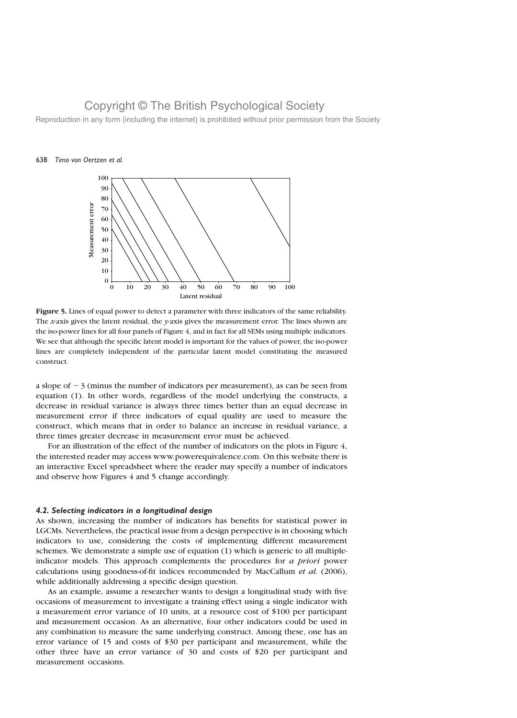Reproduction in any form (including the internet) is prohibited without prior permission from the Society

#### 638 Timo von Oertzen et al.



Figure 5. Lines of equal power to detect a parameter with three indicators of the same reliability. The x-axis gives the latent residual, the  $y$ -axis gives the measurement error. The lines shown are the iso-power lines for all four panels of Figure 4, and in fact for all SEMs using multiple indicators. We see that although the specific latent model is important for the values of power, the iso-power lines are completely independent of the particular latent model constituting the measured construct.

a slope of  $-3$  (minus the number of indicators per measurement), as can be seen from equation (1). In other words, regardless of the model underlying the constructs, a decrease in residual variance is always three times better than an equal decrease in measurement error if three indicators of equal quality are used to measure the construct, which means that in order to balance an increase in residual variance, a three times greater decrease in measurement error must be achieved.

For an illustration of the effect of the number of indicators on the plots in Figure 4, the interested reader may access www.powerequivalence.com. On this website there is an interactive Excel spreadsheet where the reader may specify a number of indicators and observe how Figures 4 and 5 change accordingly.

#### 4.2. Selecting indicators in a longitudinal design

As shown, increasing the number of indicators has benefits for statistical power in LGCMs. Nevertheless, the practical issue from a design perspective is in choosing which indicators to use, considering the costs of implementing different measurement schemes. We demonstrate a simple use of equation (1) which is generic to all multipleindicator models. This approach complements the procedures for a priori power calculations using goodness-of-fit indices recommended by MacCallum et al. (2006), while additionally addressing a specific design question.

As an example, assume a researcher wants to design a longitudinal study with five occasions of measurement to investigate a training effect using a single indicator with a measurement error variance of 10 units, at a resource cost of \$100 per participant and measurement occasion. As an alternative, four other indicators could be used in any combination to measure the same underlying construct. Among these, one has an error variance of 15 and costs of \$30 per participant and measurement, while the other three have an error variance of 30 and costs of \$20 per participant and measurement occasions.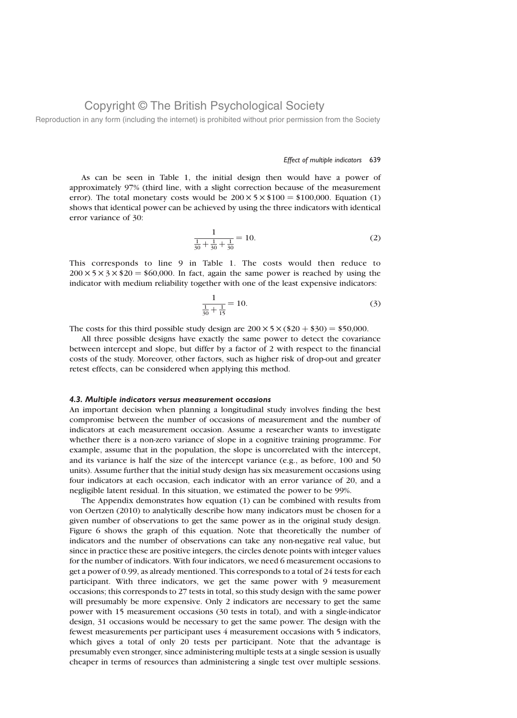Reproduction in any form (including the internet) is prohibited without prior permission from the Society

#### Effect of multiple indicators 639

As can be seen in Table 1, the initial design then would have a power of approximately 97% (third line, with a slight correction because of the measurement error). The total monetary costs would be  $200 \times 5 \times $100 = $100,000$ . Equation (1) shows that identical power can be achieved by using the three indicators with identical error variance of 30:

$$
\frac{1}{\frac{1}{30} + \frac{1}{30} + \frac{1}{30}} = 10.
$$
 (2)

This corresponds to line 9 in Table 1. The costs would then reduce to  $200 \times 5 \times 3 \times $20 = $60,000$ . In fact, again the same power is reached by using the indicator with medium reliability together with one of the least expensive indicators:

$$
\frac{1}{\frac{1}{30} + \frac{1}{15}} = 10.
$$
 (3)

The costs for this third possible study design are  $200 \times 5 \times (\$20 + \$30) = \$50,000$ .

All three possible designs have exactly the same power to detect the covariance between intercept and slope, but differ by a factor of 2 with respect to the financial costs of the study. Moreover, other factors, such as higher risk of drop-out and greater retest effects, can be considered when applying this method.

#### 4.3. Multiple indicators versus measurement occasions

An important decision when planning a longitudinal study involves finding the best compromise between the number of occasions of measurement and the number of indicators at each measurement occasion. Assume a researcher wants to investigate whether there is a non-zero variance of slope in a cognitive training programme. For example, assume that in the population, the slope is uncorrelated with the intercept, and its variance is half the size of the intercept variance (e.g., as before, 100 and 50 units). Assume further that the initial study design has six measurement occasions using four indicators at each occasion, each indicator with an error variance of 20, and a negligible latent residual. In this situation, we estimated the power to be 99%.

The Appendix demonstrates how equation (1) can be combined with results from von Oertzen (2010) to analytically describe how many indicators must be chosen for a given number of observations to get the same power as in the original study design. Figure 6 shows the graph of this equation. Note that theoretically the number of indicators and the number of observations can take any non-negative real value, but since in practice these are positive integers, the circles denote points with integer values for the number of indicators. With four indicators, we need 6 measurement occasions to get a power of 0.99, as already mentioned. This corresponds to a total of 24 tests for each participant. With three indicators, we get the same power with 9 measurement occasions; this corresponds to 27 tests in total, so this study design with the same power will presumably be more expensive. Only 2 indicators are necessary to get the same power with 15 measurement occasions (30 tests in total), and with a single-indicator design, 31 occasions would be necessary to get the same power. The design with the fewest measurements per participant uses 4 measurement occasions with 5 indicators, which gives a total of only 20 tests per participant. Note that the advantage is presumably even stronger, since administering multiple tests at a single session is usually cheaper in terms of resources than administering a single test over multiple sessions.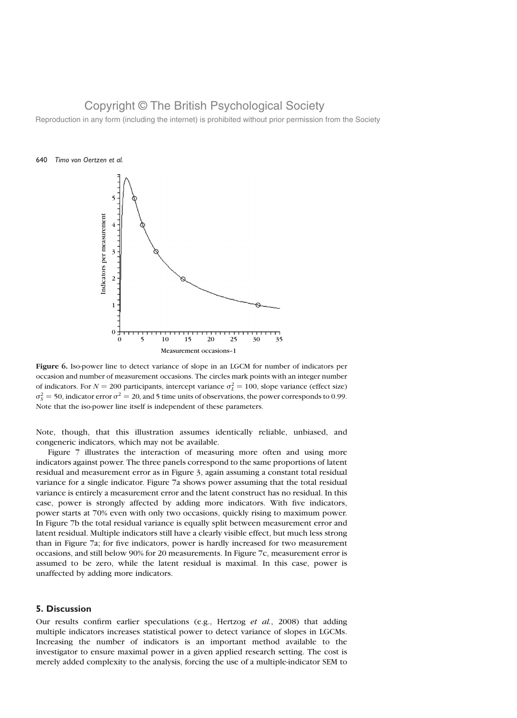Reproduction in any form (including the internet) is prohibited without prior permission from the Society





Figure 6. Iso-power line to detect variance of slope in an LGCM for number of indicators per occasion and number of measurement occasions. The circles mark points with an integer number of indicators. For  $N = 200$  participants, intercept variance  $\sigma_L^2 = 100$ , slope variance (effect size)  $\sigma_S^2$  = 50, indicator error  $\sigma^2$  = 20, and 5 time units of observations, the power corresponds to 0.99. Note that the iso-power line itself is independent of these parameters.

Note, though, that this illustration assumes identically reliable, unbiased, and congeneric indicators, which may not be available.

Figure 7 illustrates the interaction of measuring more often and using more indicators against power. The three panels correspond to the same proportions of latent residual and measurement error as in Figure 3, again assuming a constant total residual variance for a single indicator. Figure 7a shows power assuming that the total residual variance is entirely a measurement error and the latent construct has no residual. In this case, power is strongly affected by adding more indicators. With five indicators, power starts at 70% even with only two occasions, quickly rising to maximum power. In Figure 7b the total residual variance is equally split between measurement error and latent residual. Multiple indicators still have a clearly visible effect, but much less strong than in Figure 7a; for five indicators, power is hardly increased for two measurement occasions, and still below 90% for 20 measurements. In Figure 7c, measurement error is assumed to be zero, while the latent residual is maximal. In this case, power is unaffected by adding more indicators.

#### 5. Discussion

Our results confirm earlier speculations (e.g., Hertzog et al., 2008) that adding multiple indicators increases statistical power to detect variance of slopes in LGCMs. Increasing the number of indicators is an important method available to the investigator to ensure maximal power in a given applied research setting. The cost is merely added complexity to the analysis, forcing the use of a multiple-indicator SEM to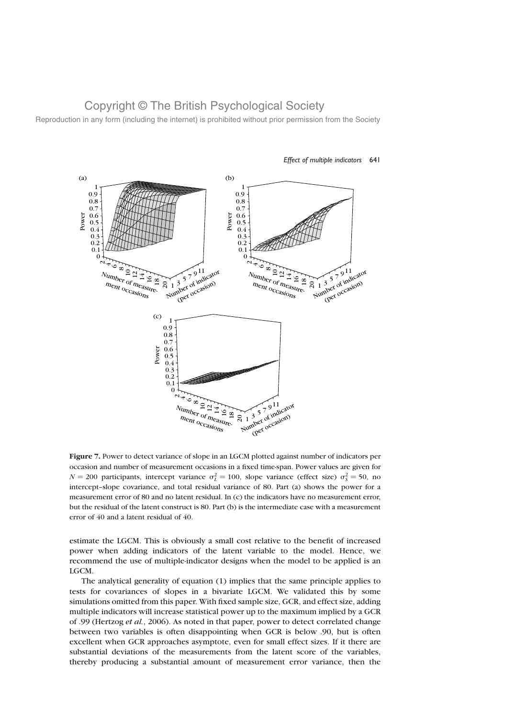Reproduction in any form (including the internet) is prohibited without prior permission from the Society



#### Effect of multiple indicators 641

Figure 7. Power to detect variance of slope in an LGCM plotted against number of indicators per occasion and number of measurement occasions in a fixed time-span. Power values are given for  $N = 200$  participants, intercept variance  $\sigma_L^2 = 100$ , slope variance (effect size)  $\sigma_S^2 = 50$ , no intercept–slope covariance, and total residual variance of 80. Part (a) shows the power for a measurement error of 80 and no latent residual. In (c) the indicators have no measurement error, but the residual of the latent construct is 80. Part (b) is the intermediate case with a measurement error of 40 and a latent residual of 40.

estimate the LGCM. This is obviously a small cost relative to the benefit of increased power when adding indicators of the latent variable to the model. Hence, we recommend the use of multiple-indicator designs when the model to be applied is an LGCM.

The analytical generality of equation (1) implies that the same principle applies to tests for covariances of slopes in a bivariate LGCM. We validated this by some simulations omitted from this paper. With fixed sample size, GCR, and effect size, adding multiple indicators will increase statistical power up to the maximum implied by a GCR of .99 (Hertzog et al., 2006). As noted in that paper, power to detect correlated change between two variables is often disappointing when GCR is below .90, but is often excellent when GCR approaches asymptote, even for small effect sizes. If it there are substantial deviations of the measurements from the latent score of the variables, thereby producing a substantial amount of measurement error variance, then the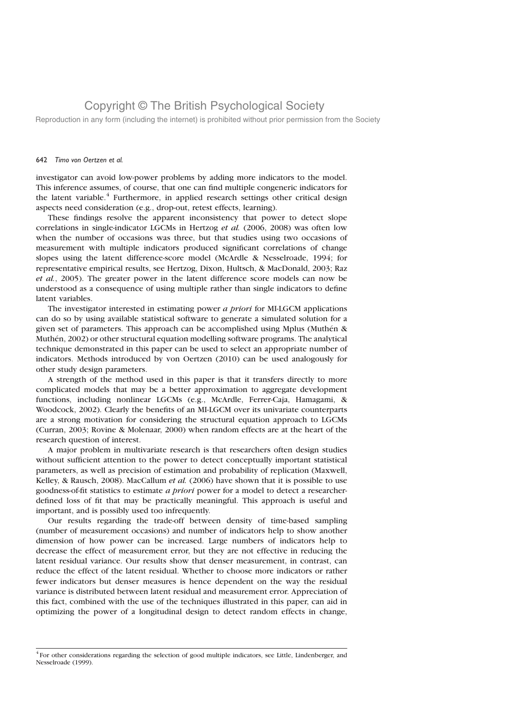Reproduction in any form (including the internet) is prohibited without prior permission from the Society

#### 642 Timo von Oertzen et al.

investigator can avoid low-power problems by adding more indicators to the model. This inference assumes, of course, that one can find multiple congeneric indicators for the latent variable. $4$  Furthermore, in applied research settings other critical design aspects need consideration (e.g., drop-out, retest effects, learning).

These findings resolve the apparent inconsistency that power to detect slope correlations in single-indicator LGCMs in Hertzog et al. (2006, 2008) was often low when the number of occasions was three, but that studies using two occasions of measurement with multiple indicators produced significant correlations of change slopes using the latent difference-score model (McArdle & Nesselroade, 1994; for representative empirical results, see Hertzog, Dixon, Hultsch, & MacDonald, 2003; Raz et al., 2005). The greater power in the latent difference score models can now be understood as a consequence of using multiple rather than single indicators to define latent variables.

The investigator interested in estimating power a priori for MI-LGCM applications can do so by using available statistical software to generate a simulated solution for a given set of parameters. This approach can be accomplished using Mplus (Muthén  $\&$ Muthén, 2002) or other structural equation modelling software programs. The analytical technique demonstrated in this paper can be used to select an appropriate number of indicators. Methods introduced by von Oertzen (2010) can be used analogously for other study design parameters.

A strength of the method used in this paper is that it transfers directly to more complicated models that may be a better approximation to aggregate development functions, including nonlinear LGCMs (e.g., McArdle, Ferrer-Caja, Hamagami, & Woodcock, 2002). Clearly the benefits of an MI-LGCM over its univariate counterparts are a strong motivation for considering the structural equation approach to LGCMs (Curran, 2003; Rovine & Molenaar, 2000) when random effects are at the heart of the research question of interest.

A major problem in multivariate research is that researchers often design studies without sufficient attention to the power to detect conceptually important statistical parameters, as well as precision of estimation and probability of replication (Maxwell, Kelley, & Rausch, 2008). MacCallum *et al.* (2006) have shown that it is possible to use goodness-of-fit statistics to estimate a priori power for a model to detect a researcherdefined loss of fit that may be practically meaningful. This approach is useful and important, and is possibly used too infrequently.

Our results regarding the trade-off between density of time-based sampling (number of measurement occasions) and number of indicators help to show another dimension of how power can be increased. Large numbers of indicators help to decrease the effect of measurement error, but they are not effective in reducing the latent residual variance. Our results show that denser measurement, in contrast, can reduce the effect of the latent residual. Whether to choose more indicators or rather fewer indicators but denser measures is hence dependent on the way the residual variance is distributed between latent residual and measurement error. Appreciation of this fact, combined with the use of the techniques illustrated in this paper, can aid in optimizing the power of a longitudinal design to detect random effects in change,

<sup>&</sup>lt;sup>4</sup> For other considerations regarding the selection of good multiple indicators, see Little, Lindenberger, and Nesselroade (1999).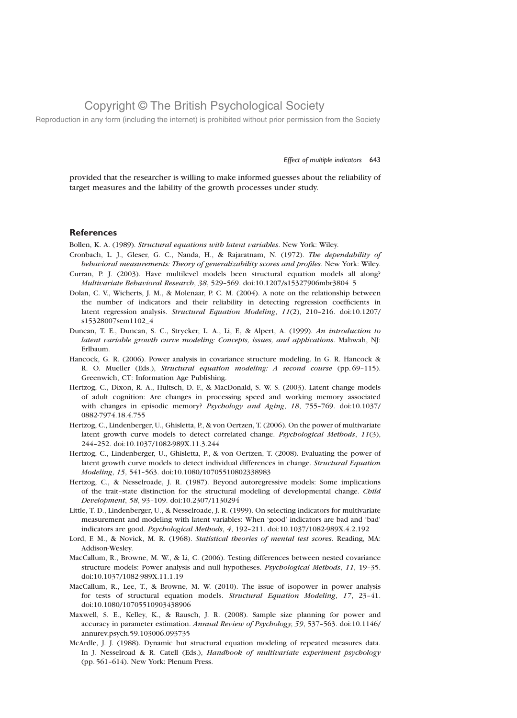Reproduction in any form (including the internet) is prohibited without prior permission from the Society

#### Effect of multiple indicators 643

provided that the researcher is willing to make informed guesses about the reliability of target measures and the lability of the growth processes under study.

#### **References**

Bollen, K. A. (1989). Structural equations with latent variables. New York: Wiley.

- Cronbach, L. J., Gleser, G. C., Nanda, H., & Rajaratnam, N. (1972). The dependability of behavioral measurements: Theory of generalizability scores and profiles. New York: Wiley.
- Curran, P. J. (2003). Have multilevel models been structural equation models all along? Multivariate Behavioral Research, 38, 529–569. doi:10.1207/s15327906mbr3804\_5
- Dolan, C. V., Wicherts, J. M., & Molenaar, P. C. M. (2004). A note on the relationship between the number of indicators and their reliability in detecting regression coefficients in latent regression analysis. Structural Equation Modeling, 11(2), 210–216. doi:10.1207/ s15328007sem1102\_4
- Duncan, T. E., Duncan, S. C., Strycker, L. A., Li, F., & Alpert, A. (1999). An introduction to latent variable growth curve modeling: Concepts, issues, and applications. Mahwah, NJ: Erlbaum.
- Hancock, G. R. (2006). Power analysis in covariance structure modeling. In G. R. Hancock & R. O. Mueller (Eds.), Structural equation modeling: A second course (pp. 69–115). Greenwich, CT: Information Age Publishing.
- Hertzog, C., Dixon, R. A., Hultsch, D. F., & MacDonald, S. W. S. (2003). Latent change models of adult cognition: Are changes in processing speed and working memory associated with changes in episodic memory? Psychology and Aging, 18, 755–769. doi:10.1037/ 0882-7974.18.4.755
- Hertzog, C., Lindenberger, U., Ghisletta, P., & von Oertzen, T. (2006). On the power of multivariate latent growth curve models to detect correlated change. Psychological Methods, 11(3), 244–252. doi:10.1037/1082-989X.11.3.244
- Hertzog, C., Lindenberger, U., Ghisletta, P., & von Oertzen, T. (2008). Evaluating the power of latent growth curve models to detect individual differences in change. Structural Equation Modeling, 15, 541–563. doi:10.1080/10705510802338983
- Hertzog, C., & Nesselroade, J. R. (1987). Beyond autoregressive models: Some implications of the trait-state distinction for the structural modeling of developmental change. Child Development, 58, 93–109. doi:10.2307/1130294
- Little, T. D., Lindenberger, U., & Nesselroade, J. R. (1999). On selecting indicators for multivariate measurement and modeling with latent variables: When 'good' indicators are bad and 'bad' indicators are good. Psychological Methods, 4, 192–211. doi:10.1037/1082-989X.4.2.192
- Lord, F. M., & Novick, M. R. (1968). Statistical theories of mental test scores. Reading, MA: Addison-Wesley.
- MacCallum, R., Browne, M. W., & Li, C. (2006). Testing differences between nested covariance structure models: Power analysis and null hypotheses. Psychological Methods, 11, 19–35. doi:10.1037/1082-989X.11.1.19
- MacCallum, R., Lee, T., & Browne, M. W. (2010). The issue of isopower in power analysis for tests of structural equation models. Structural Equation Modeling, 17, 23–41. doi:10.1080/10705510903438906
- Maxwell, S. E., Kelley, K., & Rausch, J. R. (2008). Sample size planning for power and accuracy in parameter estimation. Annual Review of Psychology, 59, 537–563. doi:10.1146/ annurev.psych.59.103006.093735
- McArdle, J. J. (1988). Dynamic but structural equation modeling of repeated measures data. In J. Nesselroad & R. Catell (Eds.), *Handbook of multivariate experiment psychology* (pp. 561–614). New York: Plenum Press.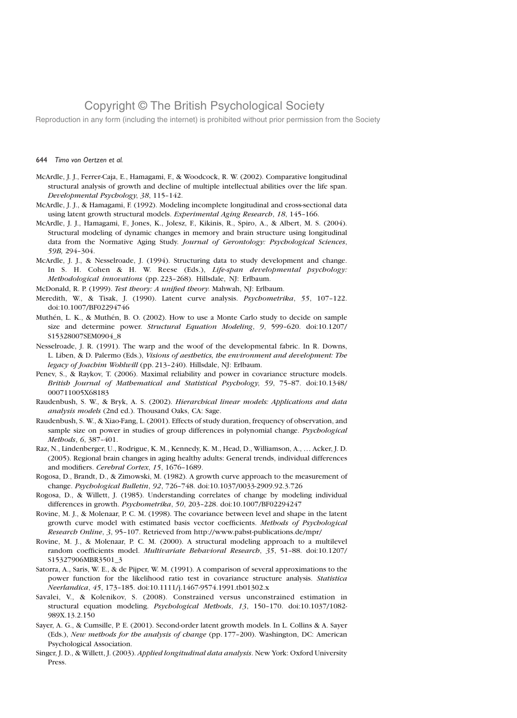Reproduction in any form (including the internet) is prohibited without prior permission from the Society

#### 644 Timo von Oertzen et al.

- McArdle, J. J., Ferrer-Caja, E., Hamagami, F., & Woodcock, R. W. (2002). Comparative longitudinal structural analysis of growth and decline of multiple intellectual abilities over the life span. Developmental Psychology, 38, 115–142.
- McArdle, J. J., & Hamagami, F. (1992). Modeling incomplete longitudinal and cross-sectional data using latent growth structural models. Experimental Aging Research, 18, 145-166.
- McArdle, J. J., Hamagami, F., Jones, K., Jolesz, F., Kikinis, R., Spiro, A., & Albert, M. S. (2004). Structural modeling of dynamic changes in memory and brain structure using longitudinal data from the Normative Aging Study. Journal of Gerontology: Psychological Sciences, 59B, 294–304.
- McArdle, J. J., & Nesselroade, J. (1994). Structuring data to study development and change. In S. H. Cohen & H. W. Reese (Eds.), Life-span developmental psychology: Methodological innovations (pp. 223–268). Hillsdale, NJ: Erlbaum.

McDonald, R. P. (1999). Test theory: A unified theory. Mahwah, NJ: Erlbaum.

- Meredith, W., & Tisak, J. (1990). Latent curve analysis. Psychometrika, 55, 107-122. doi:10.1007/BF02294746
- Muthén, L. K., & Muthén, B. O. (2002). How to use a Monte Carlo study to decide on sample size and determine power. Structural Equation Modeling, 9, 599–620. doi:10.1207/ S15328007SEM0904\_8
- Nesselroade, J. R. (1991). The warp and the woof of the developmental fabric. In R. Downs, L. Liben, & D. Palermo (Eds.), Visions of aesthetics, the environment and development: The legacy of Joachim Wohlwill (pp. 213–240). Hillsdale, NJ: Erlbaum.
- Penev, S., & Raykov, T. (2006). Maximal reliability and power in covariance structure models. British Journal of Mathematical and Statistical Psychology, 59, 75–87. doi:10.1348/ 000711005X68183
- Raudenbush, S. W., & Bryk, A. S. (2002). Hierarchical linear models: Applications and data analysis models (2nd ed.). Thousand Oaks, CA: Sage.
- Raudenbush, S. W., & Xiao-Fang, L. (2001). Effects of study duration, frequency of observation, and sample size on power in studies of group differences in polynomial change. Psychological Methods, 6, 387–401.
- Raz, N., Lindenberger, U., Rodrigue, K. M., Kennedy, K. M., Head, D., Williamson, A., … Acker, J. D. (2005). Regional brain changes in aging healthy adults: General trends, individual differences and modifiers. Cerebral Cortex, 15, 1676–1689.
- Rogosa, D., Brandt, D., & Zimowski, M. (1982). A growth curve approach to the measurement of change. Psychological Bulletin, 92, 726–748. doi:10.1037/0033-2909.92.3.726
- Rogosa, D., & Willett, J. (1985). Understanding correlates of change by modeling individual differences in growth. Psychometrika, 50, 203–228. doi:10.1007/BF02294247
- Rovine, M. J., & Molenaar, P. C. M. (1998). The covariance between level and shape in the latent growth curve model with estimated basis vector coefficients. Methods of Psychological Research Online, 3, 95–107. Retrieved from http://www.pabst-publications.de/mpr/
- Rovine, M. J., & Molenaar, P. C. M. (2000). A structural modeling approach to a multilevel random coefficients model. Multivariate Behavioral Research, 35, 51–88. doi:10.1207/ S15327906MBR3501\_3
- Satorra, A., Saris, W. E., & de Pijper, W. M. (1991). A comparison of several approximations to the power function for the likelihood ratio test in covariance structure analysis. Statistica Neerlandica, 45, 173–185. doi:10.1111/j.1467-9574.1991.tb01302.x
- Savalei, V., & Kolenikov, S. (2008). Constrained versus unconstrained estimation in structural equation modeling. Psychological Methods, 13, 150–170. doi:10.1037/1082- 989X.13.2.150
- Sayer, A. G., & Cumsille, P. E. (2001). Second-order latent growth models. In L. Collins & A. Sayer (Eds.), New methods for the analysis of change (pp. 177–200). Washington, DC: American Psychological Association.
- Singer, J. D., & Willett, J. (2003). Applied longitudinal data analysis. New York: Oxford University Press.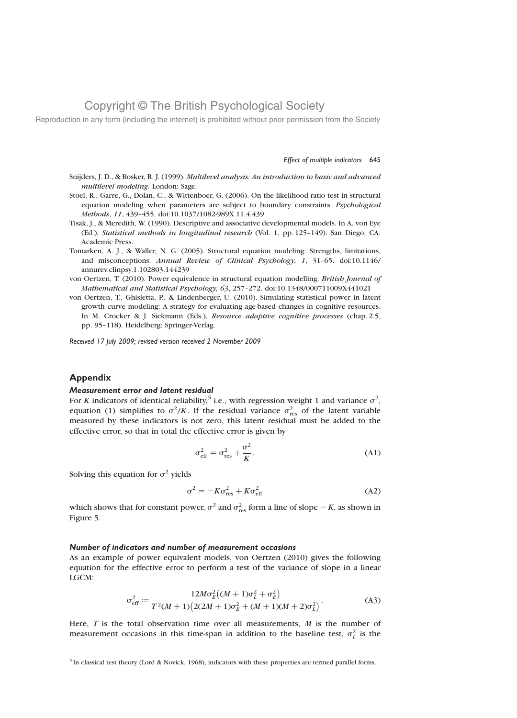Reproduction in any form (including the internet) is prohibited without prior permission from the Society

#### Effect of multiple indicators 645

- Snijders, J. D., & Bosker, R. J. (1999). Multilevel analysis: An introduction to basic and advanced multilevel modeling. London: Sage.
- Stoel, R., Garre, G., Dolan, C., & Wittenboer, G. (2006). On the likelihood ratio test in structural equation modeling when parameters are subject to boundary constraints. Psychological Methods, 11, 439–455. doi:10.1037/1082-989X.11.4.439
- Tisak, J., & Meredith, W. (1990). Descriptive and associative developmental models. In A. von Eye (Ed.), Statistical methods in longitudinal research (Vol. 1, pp. 125–149). San Diego, CA: Academic Press.
- Tomarken, A. J., & Waller, N. G. (2005). Structural equation modeling: Strengths, limitations, and misconceptions. Annual Review of Clinical Psychology, 1, 31–65. doi:10.1146/ annurev.clinpsy.1.102803.144239
- von Oertzen, T. (2010). Power equivalence in structural equation modelling. British Journal of Mathematical and Statistical Psychology, 63, 257–272. doi:10.1348/000711009X441021
- von Oertzen, T., Ghisletta, P., & Lindenberger, U. (2010). Simulating statistical power in latent growth curve modeling: A strategy for evaluating age-based changes in cognitive resources. In M. Crocker & J. Siekmann (Eds.), Resource adaptive cognitive processes (chap. 2.5, pp. 95–118). Heidelberg: Springer-Verlag.

Received 17 July 2009; revised version received 2 November 2009

#### Appendix

#### Measurement error and latent residual

For K indicators of identical reliability,<sup>5</sup> i.e., with regression weight 1 and variance  $\sigma^2$ , equation (1) simplifies to  $\sigma^2/K$ . If the residual variance  $\sigma_{\text{res}}^2$  of the latent variable measured by these indicators is not zero, this latent residual must be added to the effective error, so that in total the effective error is given by

$$
\sigma_{\rm eff}^2 = \sigma_{\rm res}^2 + \frac{\sigma^2}{K}.
$$
 (A1)

Solving this equation for  $\sigma^2$  yields

$$
\sigma^2 = -K\sigma_{\rm res}^2 + K\sigma_{\rm eff}^2 \tag{A2}
$$

which shows that for constant power,  $\sigma^2$  and  $\sigma_{\text{res}}^2$  form a line of slope  $-K$ , as shown in Figure 5.

#### Number of indicators and number of measurement occasions

As an example of power equivalent models, von Oertzen (2010) gives the following equation for the effective error to perform a test of the variance of slope in a linear LGCM:

$$
\sigma_{\text{eff}}^2 := \frac{12M\sigma_E^2((M+1)\sigma_L^2 + \sigma_E^2)}{T^2(M+1)(2(2M+1)\sigma_E^2 + (M+1)(M+2)\sigma_L^2)}.
$$
 (A3)

Here,  $T$  is the total observation time over all measurements,  $M$  is the number of measurement occasions in this time-span in addition to the baseline test,  $\sigma_L^2$  is the

<sup>5</sup> In classical test theory (Lord & Novick, 1968), indicators with these properties are termed parallel forms.